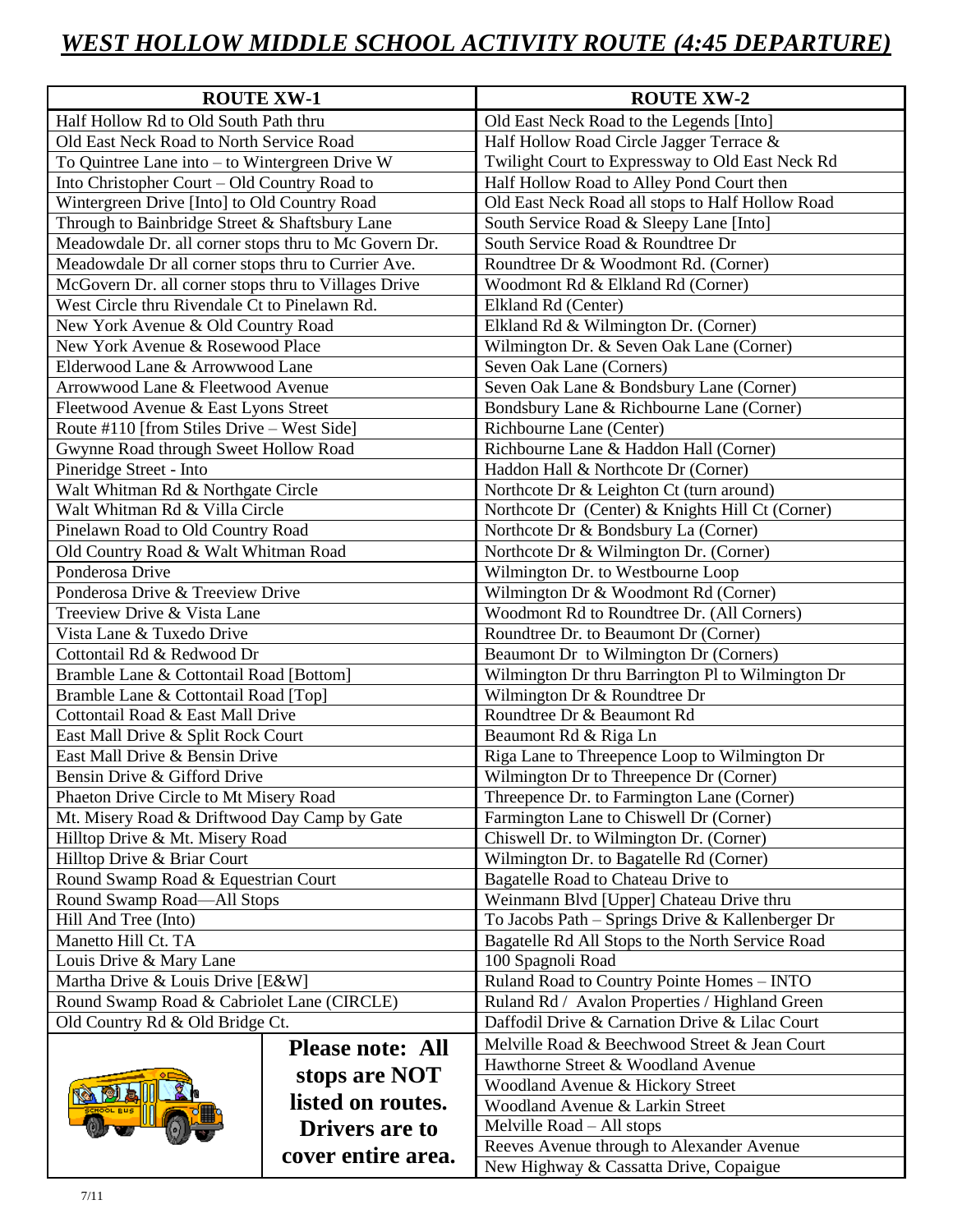## *WEST HOLLOW MIDDLE SCHOOL ACTIVITY ROUTE (4:45 DEPARTURE)*

| <b>ROUTE XW-1</b>                                     |                         | <b>ROUTE XW-2</b>                                 |
|-------------------------------------------------------|-------------------------|---------------------------------------------------|
| Half Hollow Rd to Old South Path thru                 |                         | Old East Neck Road to the Legends [Into]          |
| Old East Neck Road to North Service Road              |                         | Half Hollow Road Circle Jagger Terrace &          |
| To Quintree Lane into - to Wintergreen Drive W        |                         | Twilight Court to Expressway to Old East Neck Rd  |
| Into Christopher Court - Old Country Road to          |                         | Half Hollow Road to Alley Pond Court then         |
| Wintergreen Drive [Into] to Old Country Road          |                         | Old East Neck Road all stops to Half Hollow Road  |
| Through to Bainbridge Street & Shaftsbury Lane        |                         | South Service Road & Sleepy Lane [Into]           |
| Meadowdale Dr. all corner stops thru to Mc Govern Dr. |                         | South Service Road & Roundtree Dr                 |
| Meadowdale Dr all corner stops thru to Currier Ave.   |                         | Roundtree Dr & Woodmont Rd. (Corner)              |
| McGovern Dr. all corner stops thru to Villages Drive  |                         | Woodmont Rd & Elkland Rd (Corner)                 |
| West Circle thru Rivendale Ct to Pinelawn Rd.         |                         | Elkland Rd (Center)                               |
| New York Avenue & Old Country Road                    |                         | Elkland Rd & Wilmington Dr. (Corner)              |
| New York Avenue & Rosewood Place                      |                         | Wilmington Dr. & Seven Oak Lane (Corner)          |
| Elderwood Lane & Arrowwood Lane                       |                         | Seven Oak Lane (Corners)                          |
| Arrowwood Lane & Fleetwood Avenue                     |                         | Seven Oak Lane & Bondsbury Lane (Corner)          |
| Fleetwood Avenue & East Lyons Street                  |                         | Bondsbury Lane & Richbourne Lane (Corner)         |
| Route #110 [from Stiles Drive – West Side]            |                         | Richbourne Lane (Center)                          |
| Gwynne Road through Sweet Hollow Road                 |                         | Richbourne Lane & Haddon Hall (Corner)            |
| Pineridge Street - Into                               |                         | Haddon Hall & Northcote Dr (Corner)               |
| Walt Whitman Rd & Northgate Circle                    |                         | Northcote Dr & Leighton Ct (turn around)          |
| Walt Whitman Rd & Villa Circle                        |                         | Northcote Dr (Center) & Knights Hill Ct (Corner)  |
| Pinelawn Road to Old Country Road                     |                         | Northcote Dr & Bondsbury La (Corner)              |
| Old Country Road & Walt Whitman Road                  |                         | Northcote Dr & Wilmington Dr. (Corner)            |
| Ponderosa Drive                                       |                         | Wilmington Dr. to Westbourne Loop                 |
| Ponderosa Drive & Treeview Drive                      |                         | Wilmington Dr & Woodmont Rd (Corner)              |
| Treeview Drive & Vista Lane                           |                         | Woodmont Rd to Roundtree Dr. (All Corners)        |
| Vista Lane & Tuxedo Drive                             |                         | Roundtree Dr. to Beaumont Dr (Corner)             |
| Cottontail Rd & Redwood Dr                            |                         | Beaumont Dr to Wilmington Dr (Corners)            |
| Bramble Lane & Cottontail Road [Bottom]               |                         | Wilmington Dr thru Barrington Pl to Wilmington Dr |
| Bramble Lane & Cottontail Road [Top]                  |                         | Wilmington Dr & Roundtree Dr                      |
| Cottontail Road & East Mall Drive                     |                         | Roundtree Dr & Beaumont Rd                        |
| East Mall Drive & Split Rock Court                    |                         | Beaumont Rd & Riga Ln                             |
| East Mall Drive & Bensin Drive                        |                         | Riga Lane to Threepence Loop to Wilmington Dr     |
| Bensin Drive & Gifford Drive                          |                         | Wilmington Dr to Threepence Dr (Corner)           |
| Phaeton Drive Circle to Mt Misery Road                |                         | Threepence Dr. to Farmington Lane (Corner)        |
| Mt. Misery Road & Driftwood Day Camp by Gate          |                         | Farmington Lane to Chiswell Dr (Corner)           |
| Hilltop Drive & Mt. Misery Road                       |                         | Chiswell Dr. to Wilmington Dr. (Corner)           |
| Hilltop Drive & Briar Court                           |                         | Wilmington Dr. to Bagatelle Rd (Corner)           |
| Round Swamp Road & Equestrian Court                   |                         | Bagatelle Road to Chateau Drive to                |
| Round Swamp Road-All Stops                            |                         | Weinmann Blvd [Upper] Chateau Drive thru          |
| Hill And Tree (Into)                                  |                         | To Jacobs Path - Springs Drive & Kallenberger Dr  |
| Manetto Hill Ct. TA                                   |                         | Bagatelle Rd All Stops to the North Service Road  |
| Louis Drive & Mary Lane                               |                         | 100 Spagnoli Road                                 |
| Martha Drive & Louis Drive [E&W]                      |                         | Ruland Road to Country Pointe Homes - INTO        |
| Round Swamp Road & Cabriolet Lane (CIRCLE)            |                         | Ruland Rd / Avalon Properties / Highland Green    |
| Old Country Rd & Old Bridge Ct.                       |                         | Daffodil Drive & Carnation Drive & Lilac Court    |
|                                                       | <b>Please note: All</b> | Melville Road & Beechwood Street & Jean Court     |
|                                                       |                         | Hawthorne Street & Woodland Avenue                |
|                                                       | stops are NOT           | Woodland Avenue & Hickory Street                  |
|                                                       | listed on routes.       | Woodland Avenue & Larkin Street                   |
|                                                       | <b>Drivers are to</b>   | Melville Road – All stops                         |
|                                                       | cover entire area.      | Reeves Avenue through to Alexander Avenue         |
|                                                       |                         | New Highway & Cassatta Drive, Copaigue            |